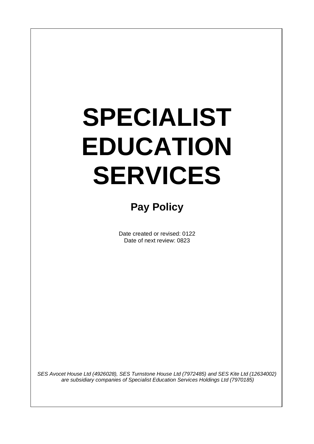# **SPECIALIST EDUCATION SERVICES**

# **Pay Policy**

Date created or revised: 0122 Date of next review: 0823

*SES Avocet House Ltd (4926028), SES Turnstone House Ltd (7972485) and SES Kite Ltd (12634002) are subsidiary companies of Specialist Education Services Holdings Ltd (7970185)*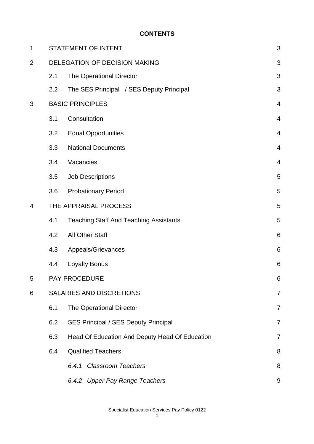#### **CONTENTS**

| $\mathbf 1$    |                                 | <b>STATEMENT OF INTENT</b>                     | 3              |
|----------------|---------------------------------|------------------------------------------------|----------------|
| $\overline{2}$ | DELEGATION OF DECISION MAKING   |                                                |                |
|                | 2.1                             | The Operational Director                       | 3<br>3         |
|                | 2.2                             | The SES Principal / SES Deputy Principal       | 3              |
| 3              | <b>BASIC PRINCIPLES</b>         |                                                |                |
|                | 3.1                             | Consultation                                   | 4              |
|                | 3.2                             | <b>Equal Opportunities</b>                     | $\overline{4}$ |
|                | 3.3                             | <b>National Documents</b>                      | $\overline{4}$ |
|                | 3.4                             | Vacancies                                      | 4              |
|                | 3.5                             | <b>Job Descriptions</b>                        | 5              |
|                | 3.6                             | <b>Probationary Period</b>                     | 5              |
| $\overline{4}$ | THE APPRAISAL PROCESS           |                                                |                |
|                | 4.1                             | <b>Teaching Staff And Teaching Assistants</b>  | 5              |
|                | 4.2                             | All Other Staff                                | 6              |
|                | 4.3                             | Appeals/Grievances                             | 6              |
|                | 4.4                             | <b>Loyalty Bonus</b>                           | 6              |
| 5              |                                 | <b>PAY PROCEDURE</b>                           | 6              |
| 6              | <b>SALARIES AND DISCRETIONS</b> |                                                |                |
|                | 6.1                             | The Operational Director                       | 7              |
|                | 6.2                             | <b>SES Principal / SES Deputy Principal</b>    | 7              |
|                | 6.3                             | Head Of Education And Deputy Head Of Education | 7              |
|                | 6.4                             | <b>Qualified Teachers</b>                      | 8              |
|                |                                 | 6.4.1 Classroom Teachers                       | 8              |
|                |                                 | 6.4.2 Upper Pay Range Teachers                 | 9              |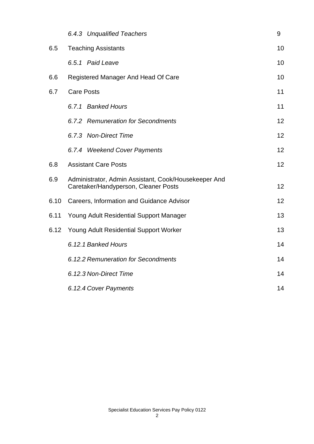|      | 6.4.3 Unqualified Teachers                                                                   | 9  |  |  |
|------|----------------------------------------------------------------------------------------------|----|--|--|
| 6.5  | <b>Teaching Assistants</b>                                                                   | 10 |  |  |
|      | 6.5.1 Paid Leave                                                                             | 10 |  |  |
| 6.6  | 10<br>Registered Manager And Head Of Care                                                    |    |  |  |
| 6.7  | <b>Care Posts</b>                                                                            |    |  |  |
|      | 6.7.1 Banked Hours                                                                           | 11 |  |  |
|      | 6.7.2 Remuneration for Secondments                                                           | 12 |  |  |
|      | 6.7.3 Non-Direct Time                                                                        | 12 |  |  |
|      | 6.7.4 Weekend Cover Payments                                                                 | 12 |  |  |
| 6.8  | <b>Assistant Care Posts</b>                                                                  | 12 |  |  |
| 6.9  | Administrator, Admin Assistant, Cook/Housekeeper And<br>Caretaker/Handyperson, Cleaner Posts | 12 |  |  |
| 6.10 | Careers, Information and Guidance Advisor                                                    | 12 |  |  |
| 6.11 | Young Adult Residential Support Manager                                                      | 13 |  |  |
| 6.12 | Young Adult Residential Support Worker                                                       |    |  |  |
|      | 6.12.1 Banked Hours                                                                          |    |  |  |
|      | 6.12.2 Remuneration for Secondments                                                          |    |  |  |
|      | 6.12.3 Non-Direct Time                                                                       |    |  |  |
|      | 6.12.4 Cover Payments                                                                        |    |  |  |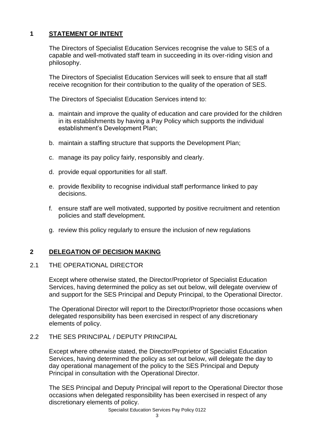# **1 STATEMENT OF INTENT**

The Directors of Specialist Education Services recognise the value to SES of a capable and well-motivated staff team in succeeding in its over-riding vision and philosophy.

The Directors of Specialist Education Services will seek to ensure that all staff receive recognition for their contribution to the quality of the operation of SES.

The Directors of Specialist Education Services intend to:

- a. maintain and improve the quality of education and care provided for the children in its establishments by having a Pay Policy which supports the individual establishment's Development Plan;
- b. maintain a staffing structure that supports the Development Plan;
- c. manage its pay policy fairly, responsibly and clearly.
- d. provide equal opportunities for all staff.
- e. provide flexibility to recognise individual staff performance linked to pay decisions.
- f. ensure staff are well motivated, supported by positive recruitment and retention policies and staff development.
- g. review this policy regularly to ensure the inclusion of new regulations

# **2 DELEGATION OF DECISION MAKING**

# 2.1 THE OPERATIONAL DIRECTOR

Except where otherwise stated, the Director/Proprietor of Specialist Education Services, having determined the policy as set out below, will delegate overview of and support for the SES Principal and Deputy Principal, to the Operational Director.

The Operational Director will report to the Director/Proprietor those occasions when delegated responsibility has been exercised in respect of any discretionary elements of policy.

# 2.2 THE SES PRINCIPAL / DEPUTY PRINCIPAL

Except where otherwise stated, the Director/Proprietor of Specialist Education Services, having determined the policy as set out below, will delegate the day to day operational management of the policy to the SES Principal and Deputy Principal in consultation with the Operational Director.

The SES Principal and Deputy Principal will report to the Operational Director those occasions when delegated responsibility has been exercised in respect of any discretionary elements of policy.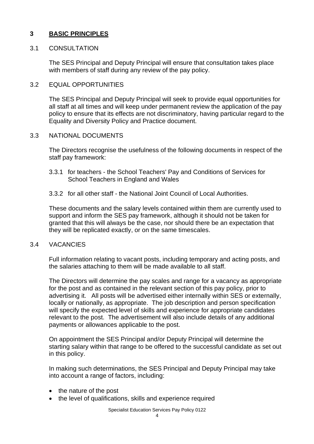# **3 BASIC PRINCIPLES**

#### 3.1 CONSULTATION

The SES Principal and Deputy Principal will ensure that consultation takes place with members of staff during any review of the pay policy.

#### 3.2 EQUAL OPPORTUNITIES

The SES Principal and Deputy Principal will seek to provide equal opportunities for all staff at all times and will keep under permanent review the application of the pay policy to ensure that its effects are not discriminatory, having particular regard to the Equality and Diversity Policy and Practice document.

#### 3.3 NATIONAL DOCUMENTS

The Directors recognise the usefulness of the following documents in respect of the staff pay framework:

- 3.3.1 for teachers the School Teachers' Pay and Conditions of Services for School Teachers in England and Wales
- 3.3.2 for all other staff the National Joint Council of Local Authorities.

These documents and the salary levels contained within them are currently used to support and inform the SES pay framework, although it should not be taken for granted that this will always be the case, nor should there be an expectation that they will be replicated exactly, or on the same timescales.

#### 3.4 VACANCIES

Full information relating to vacant posts, including temporary and acting posts, and the salaries attaching to them will be made available to all staff.

The Directors will determine the pay scales and range for a vacancy as appropriate for the post and as contained in the relevant section of this pay policy, prior to advertising it. All posts will be advertised either internally within SES or externally, locally or nationally, as appropriate. The job description and person specification will specify the expected level of skills and experience for appropriate candidates relevant to the post. The advertisement will also include details of any additional payments or allowances applicable to the post.

On appointment the SES Principal and/or Deputy Principal will determine the starting salary within that range to be offered to the successful candidate as set out in this policy.

In making such determinations, the SES Principal and Deputy Principal may take into account a range of factors, including:

- the nature of the post
- the level of qualifications, skills and experience required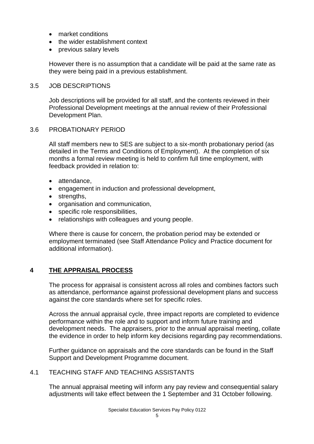- market conditions
- the wider establishment context
- previous salary levels

However there is no assumption that a candidate will be paid at the same rate as they were being paid in a previous establishment.

#### 3.5 JOB DESCRIPTIONS

Job descriptions will be provided for all staff, and the contents reviewed in their Professional Development meetings at the annual review of their Professional Development Plan.

#### 3.6 PROBATIONARY PERIOD

All staff members new to SES are subject to a six-month probationary period (as detailed in the Terms and Conditions of Employment). At the completion of six months a formal review meeting is held to confirm full time employment, with feedback provided in relation to:

- attendance,
- engagement in induction and professional development,
- strengths,
- organisation and communication,
- specific role responsibilities,
- relationships with colleagues and young people.

Where there is cause for concern, the probation period may be extended or employment terminated (see Staff Attendance Policy and Practice document for additional information).

# **4 THE APPRAISAL PROCESS**

The process for appraisal is consistent across all roles and combines factors such as attendance, performance against professional development plans and success against the core standards where set for specific roles.

Across the annual appraisal cycle, three impact reports are completed to evidence performance within the role and to support and inform future training and development needs. The appraisers, prior to the annual appraisal meeting, collate the evidence in order to help inform key decisions regarding pay recommendations.

Further guidance on appraisals and the core standards can be found in the Staff Support and Development Programme document.

# 4.1 TEACHING STAFF AND TEACHING ASSISTANTS

The annual appraisal meeting will inform any pay review and consequential salary adjustments will take effect between the 1 September and 31 October following.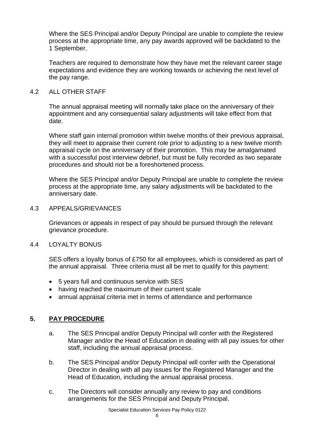Where the SES Principal and/or Deputy Principal are unable to complete the review process at the appropriate time, any pay awards approved will be backdated to the 1 September.

Teachers are required to demonstrate how they have met the relevant career stage expectations and evidence they are working towards or achieving the next level of the pay range.

#### 4.2 ALL OTHER STAFF

The annual appraisal meeting will normally take place on the anniversary of their appointment and any consequential salary adjustments will take effect from that date.

Where staff gain internal promotion within twelve months of their previous appraisal, they will meet to appraise their current role prior to adjusting to a new twelve month appraisal cycle on the anniversary of their promotion. This may be amalgamated with a successful post interview debrief, but must be fully recorded as two separate procedures and should not be a foreshortened process.

Where the SES Principal and/or Deputy Principal are unable to complete the review process at the appropriate time, any salary adjustments will be backdated to the anniversary date.

#### 4.3 APPEALS/GRIEVANCES

Grievances or appeals in respect of pay should be pursued through the relevant grievance procedure.

#### 4.4 LOYALTY BONUS

SES offers a loyalty bonus of £750 for all employees, which is considered as part of the annual appraisal. Three criteria must all be met to qualify for this payment:

- 5 years full and continuous service with SES
- having reached the maximum of their current scale
- annual appraisal criteria met in terms of attendance and performance

# **5. PAY PROCEDURE**

- a. The SES Principal and/or Deputy Principal will confer with the Registered Manager and/or the Head of Education in dealing with all pay issues for other staff, including the annual appraisal process.
- b. The SES Principal and/or Deputy Principal will confer with the Operational Director in dealing with all pay issues for the Registered Manager and the Head of Education, including the annual appraisal process.
- c. The Directors will consider annually any review to pay and conditions arrangements for the SES Principal and Deputy Principal.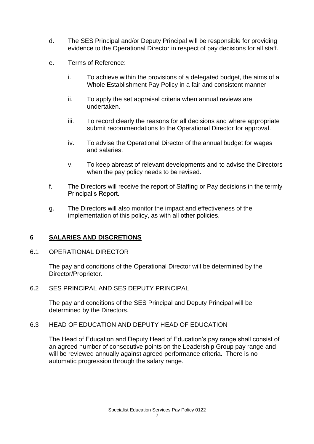- d. The SES Principal and/or Deputy Principal will be responsible for providing evidence to the Operational Director in respect of pay decisions for all staff.
- e. Terms of Reference:
	- i. To achieve within the provisions of a delegated budget, the aims of a Whole Establishment Pay Policy in a fair and consistent manner
	- ii. To apply the set appraisal criteria when annual reviews are undertaken.
	- iii. To record clearly the reasons for all decisions and where appropriate submit recommendations to the Operational Director for approval.
	- iv. To advise the Operational Director of the annual budget for wages and salaries.
	- v. To keep abreast of relevant developments and to advise the Directors when the pay policy needs to be revised.
- f. The Directors will receive the report of Staffing or Pay decisions in the termly Principal's Report.
- g. The Directors will also monitor the impact and effectiveness of the implementation of this policy, as with all other policies.

# **6 SALARIES AND DISCRETIONS**

#### 6.1 OPERATIONAL DIRECTOR

The pay and conditions of the Operational Director will be determined by the Director/Proprietor.

6.2 SES PRINCIPAL AND SES DEPUTY PRINCIPAL

The pay and conditions of the SES Principal and Deputy Principal will be determined by the Directors.

#### 6.3 HEAD OF EDUCATION AND DEPUTY HEAD OF EDUCATION

The Head of Education and Deputy Head of Education's pay range shall consist of an agreed number of consecutive points on the Leadership Group pay range and will be reviewed annually against agreed performance criteria. There is no automatic progression through the salary range.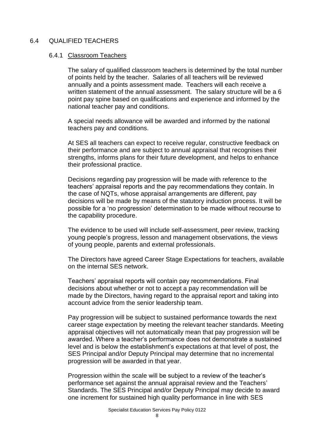#### 6.4 QUALIFIED TEACHERS

#### 6.4.1 Classroom Teachers

The salary of qualified classroom teachers is determined by the total number of points held by the teacher. Salaries of all teachers will be reviewed annually and a points assessment made. Teachers will each receive a written statement of the annual assessment. The salary structure will be a 6 point pay spine based on qualifications and experience and informed by the national teacher pay and conditions.

A special needs allowance will be awarded and informed by the national teachers pay and conditions.

At SES all teachers can expect to receive regular, constructive feedback on their performance and are subject to annual appraisal that recognises their strengths, informs plans for their future development, and helps to enhance their professional practice.

Decisions regarding pay progression will be made with reference to the teachers' appraisal reports and the pay recommendations they contain. In the case of NQTs, whose appraisal arrangements are different, pay decisions will be made by means of the statutory induction process. It will be possible for a 'no progression' determination to be made without recourse to the capability procedure.

The evidence to be used will include self-assessment, peer review, tracking young people's progress, lesson and management observations, the views of young people, parents and external professionals.

The Directors have agreed Career Stage Expectations for teachers, available on the internal SES network.

Teachers' appraisal reports will contain pay recommendations. Final decisions about whether or not to accept a pay recommendation will be made by the Directors, having regard to the appraisal report and taking into account advice from the senior leadership team.

Pay progression will be subject to sustained performance towards the next career stage expectation by meeting the relevant teacher standards. Meeting appraisal objectives will not automatically mean that pay progression will be awarded. Where a teacher's performance does not demonstrate a sustained level and is below the establishment's expectations at that level of post, the SES Principal and/or Deputy Principal may determine that no incremental progression will be awarded in that year.

Progression within the scale will be subject to a review of the teacher's performance set against the annual appraisal review and the Teachers' Standards. The SES Principal and/or Deputy Principal may decide to award one increment for sustained high quality performance in line with SES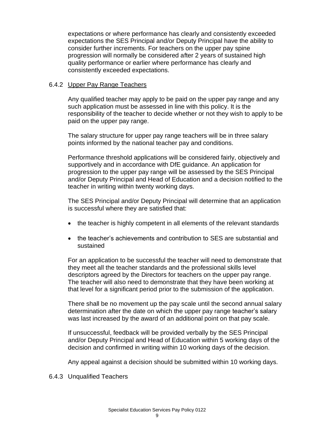expectations or where performance has clearly and consistently exceeded expectations the SES Principal and/or Deputy Principal have the ability to consider further increments. For teachers on the upper pay spine progression will normally be considered after 2 years of sustained high quality performance or earlier where performance has clearly and consistently exceeded expectations.

# 6.4.2 Upper Pay Range Teachers

Any qualified teacher may apply to be paid on the upper pay range and any such application must be assessed in line with this policy. It is the responsibility of the teacher to decide whether or not they wish to apply to be paid on the upper pay range.

The salary structure for upper pay range teachers will be in three salary points informed by the national teacher pay and conditions.

Performance threshold applications will be considered fairly, objectively and supportively and in accordance with DfE guidance. An application for progression to the upper pay range will be assessed by the SES Principal and/or Deputy Principal and Head of Education and a decision notified to the teacher in writing within twenty working days.

The SES Principal and/or Deputy Principal will determine that an application is successful where they are satisfied that:

- the teacher is highly competent in all elements of the relevant standards
- the teacher's achievements and contribution to SES are substantial and sustained

For an application to be successful the teacher will need to demonstrate that they meet all the teacher standards and the professional skills level descriptors agreed by the Directors for teachers on the upper pay range. The teacher will also need to demonstrate that they have been working at that level for a significant period prior to the submission of the application.

There shall be no movement up the pay scale until the second annual salary determination after the date on which the upper pay range teacher's salary was last increased by the award of an additional point on that pay scale.

If unsuccessful, feedback will be provided verbally by the SES Principal and/or Deputy Principal and Head of Education within 5 working days of the decision and confirmed in writing within 10 working days of the decision.

Any appeal against a decision should be submitted within 10 working days.

6.4.3 Unqualified Teachers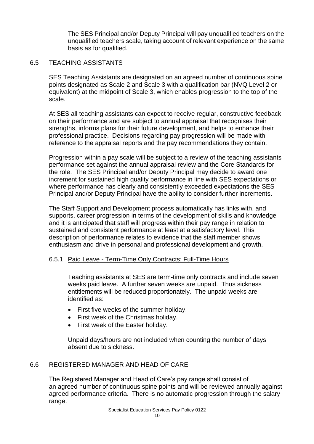The SES Principal and/or Deputy Principal will pay unqualified teachers on the unqualified teachers scale, taking account of relevant experience on the same basis as for qualified.

#### 6.5 TEACHING ASSISTANTS

SES Teaching Assistants are designated on an agreed number of continuous spine points designated as Scale 2 and Scale 3 with a qualification bar (NVQ Level 2 or equivalent) at the midpoint of Scale 3, which enables progression to the top of the scale.

At SES all teaching assistants can expect to receive regular, constructive feedback on their performance and are subject to annual appraisal that recognises their strengths, informs plans for their future development, and helps to enhance their professional practice. Decisions regarding pay progression will be made with reference to the appraisal reports and the pay recommendations they contain.

Progression within a pay scale will be subject to a review of the teaching assistants performance set against the annual appraisal review and the Core Standards for the role. The SES Principal and/or Deputy Principal may decide to award one increment for sustained high quality performance in line with SES expectations or where performance has clearly and consistently exceeded expectations the SES Principal and/or Deputy Principal have the ability to consider further increments.

The Staff Support and Development process automatically has links with, and supports, career progression in terms of the development of skills and knowledge and it is anticipated that staff will progress within their pay range in relation to sustained and consistent performance at least at a satisfactory level. This description of performance relates to evidence that the staff member shows enthusiasm and drive in personal and professional development and growth.

#### 6.5.1 Paid Leave - Term-Time Only Contracts: Full-Time Hours

Teaching assistants at SES are term-time only contracts and include seven weeks paid leave. A further seven weeks are unpaid. Thus sickness entitlements will be reduced proportionately. The unpaid weeks are identified as:

- First five weeks of the summer holiday.
- First week of the Christmas holiday.
- First week of the Easter holiday.

Unpaid days/hours are not included when counting the number of days absent due to sickness.

# 6.6 REGISTERED MANAGER AND HEAD OF CARE

The Registered Manager and Head of Care's pay range shall consist of an agreed number of continuous spine points and will be reviewed annually against agreed performance criteria. There is no automatic progression through the salary range.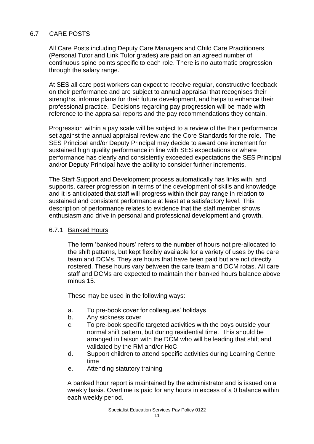# 6.7 CARE POSTS

All Care Posts including Deputy Care Managers and Child Care Practitioners (Personal Tutor and Link Tutor grades) are paid on an agreed number of continuous spine points specific to each role. There is no automatic progression through the salary range.

At SES all care post workers can expect to receive regular, constructive feedback on their performance and are subject to annual appraisal that recognises their strengths, informs plans for their future development, and helps to enhance their professional practice. Decisions regarding pay progression will be made with reference to the appraisal reports and the pay recommendations they contain.

Progression within a pay scale will be subject to a review of the their performance set against the annual appraisal review and the Core Standards for the role. The SES Principal and/or Deputy Principal may decide to award one increment for sustained high quality performance in line with SES expectations or where performance has clearly and consistently exceeded expectations the SES Principal and/or Deputy Principal have the ability to consider further increments.

The Staff Support and Development process automatically has links with, and supports, career progression in terms of the development of skills and knowledge and it is anticipated that staff will progress within their pay range in relation to sustained and consistent performance at least at a satisfactory level. This description of performance relates to evidence that the staff member shows enthusiasm and drive in personal and professional development and growth.

#### 6.7.1 Banked Hours

The term 'banked hours' refers to the number of hours not pre-allocated to the shift patterns, but kept flexibly available for a variety of uses by the care team and DCMs. They are hours that have been paid but are not directly rostered. These hours vary between the care team and DCM rotas. All care staff and DCMs are expected to maintain their banked hours balance above minus 15.

These may be used in the following ways:

- a. To pre-book cover for colleagues' holidays
- b. Any sickness cover
- c. To pre-book specific targeted activities with the boys outside your normal shift pattern, but during residential time. This should be arranged in liaison with the DCM who will be leading that shift and validated by the RM and/or HoC.
- d. Support children to attend specific activities during Learning Centre time
- e. Attending statutory training

A banked hour report is maintained by the administrator and is issued on a weekly basis. Overtime is paid for any hours in excess of a 0 balance within each weekly period.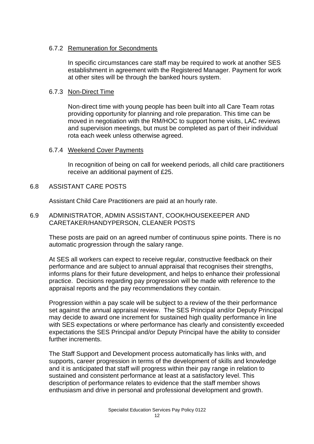# 6.7.2 Remuneration for Secondments

In specific circumstances care staff may be required to work at another SES establishment in agreement with the Registered Manager. Payment for work at other sites will be through the banked hours system.

#### 6.7.3 Non-Direct Time

Non-direct time with young people has been built into all Care Team rotas providing opportunity for planning and role preparation. This time can be moved in negotiation with the RM/HOC to support home visits, LAC reviews and supervision meetings, but must be completed as part of their individual rota each week unless otherwise agreed.

#### 6.7.4 Weekend Cover Payments

In recognition of being on call for weekend periods, all child care practitioners receive an additional payment of £25.

#### 6.8 ASSISTANT CARE POSTS

Assistant Child Care Practitioners are paid at an hourly rate.

#### 6.9 ADMINISTRATOR, ADMIN ASSISTANT, COOK/HOUSEKEEPER AND CARETAKER/HANDYPERSON, CLEANER POSTS

These posts are paid on an agreed number of continuous spine points. There is no automatic progression through the salary range.

At SES all workers can expect to receive regular, constructive feedback on their performance and are subject to annual appraisal that recognises their strengths, informs plans for their future development, and helps to enhance their professional practice. Decisions regarding pay progression will be made with reference to the appraisal reports and the pay recommendations they contain.

Progression within a pay scale will be subject to a review of the their performance set against the annual appraisal review. The SES Principal and/or Deputy Principal may decide to award one increment for sustained high quality performance in line with SES expectations or where performance has clearly and consistently exceeded expectations the SES Principal and/or Deputy Principal have the ability to consider further increments.

The Staff Support and Development process automatically has links with, and supports, career progression in terms of the development of skills and knowledge and it is anticipated that staff will progress within their pay range in relation to sustained and consistent performance at least at a satisfactory level. This description of performance relates to evidence that the staff member shows enthusiasm and drive in personal and professional development and growth.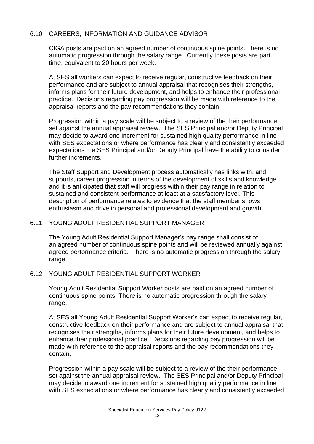# 6.10 CAREERS, INFORMATION AND GUIDANCE ADVISOR

CIGA posts are paid on an agreed number of continuous spine points. There is no automatic progression through the salary range. Currently these posts are part time, equivalent to 20 hours per week.

At SES all workers can expect to receive regular, constructive feedback on their performance and are subject to annual appraisal that recognises their strengths, informs plans for their future development, and helps to enhance their professional practice. Decisions regarding pay progression will be made with reference to the appraisal reports and the pay recommendations they contain.

Progression within a pay scale will be subject to a review of the their performance set against the annual appraisal review. The SES Principal and/or Deputy Principal may decide to award one increment for sustained high quality performance in line with SES expectations or where performance has clearly and consistently exceeded expectations the SES Principal and/or Deputy Principal have the ability to consider further increments.

The Staff Support and Development process automatically has links with, and supports, career progression in terms of the development of skills and knowledge and it is anticipated that staff will progress within their pay range in relation to sustained and consistent performance at least at a satisfactory level. This description of performance relates to evidence that the staff member shows enthusiasm and drive in personal and professional development and growth.

#### 6.11 YOUNG ADULT RESIDENTIAL SUPPORT MANAGER

The Young Adult Residential Support Manager's pay range shall consist of an agreed number of continuous spine points and will be reviewed annually against agreed performance criteria. There is no automatic progression through the salary range.

#### 6.12 YOUNG ADULT RESIDENTIAL SUPPORT WORKER

Young Adult Residential Support Worker posts are paid on an agreed number of continuous spine points. There is no automatic progression through the salary range.

At SES all Young Adult Residential Support Worker's can expect to receive regular, constructive feedback on their performance and are subject to annual appraisal that recognises their strengths, informs plans for their future development, and helps to enhance their professional practice. Decisions regarding pay progression will be made with reference to the appraisal reports and the pay recommendations they contain.

Progression within a pay scale will be subject to a review of the their performance set against the annual appraisal review. The SES Principal and/or Deputy Principal may decide to award one increment for sustained high quality performance in line with SES expectations or where performance has clearly and consistently exceeded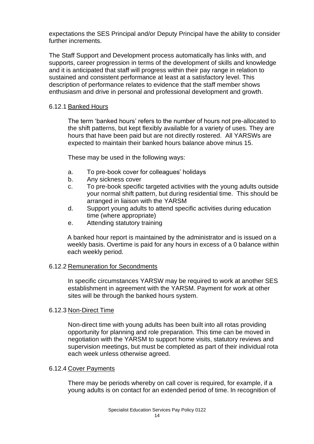expectations the SES Principal and/or Deputy Principal have the ability to consider further increments.

The Staff Support and Development process automatically has links with, and supports, career progression in terms of the development of skills and knowledge and it is anticipated that staff will progress within their pay range in relation to sustained and consistent performance at least at a satisfactory level. This description of performance relates to evidence that the staff member shows enthusiasm and drive in personal and professional development and growth.

# 6.12.1 Banked Hours

The term 'banked hours' refers to the number of hours not pre-allocated to the shift patterns, but kept flexibly available for a variety of uses. They are hours that have been paid but are not directly rostered. All YARSWs are expected to maintain their banked hours balance above minus 15.

These may be used in the following ways:

- a. To pre-book cover for colleagues' holidays
- b. Any sickness cover
- c. To pre-book specific targeted activities with the young adults outside your normal shift pattern, but during residential time. This should be arranged in liaison with the YARSM
- d. Support young adults to attend specific activities during education time (where appropriate)
- e. Attending statutory training

A banked hour report is maintained by the administrator and is issued on a weekly basis. Overtime is paid for any hours in excess of a 0 balance within each weekly period.

#### 6.12.2 Remuneration for Secondments

In specific circumstances YARSW may be required to work at another SES establishment in agreement with the YARSM. Payment for work at other sites will be through the banked hours system.

#### 6.12.3 Non-Direct Time

Non-direct time with young adults has been built into all rotas providing opportunity for planning and role preparation. This time can be moved in negotiation with the YARSM to support home visits, statutory reviews and supervision meetings, but must be completed as part of their individual rota each week unless otherwise agreed.

#### 6.12.4 Cover Payments

There may be periods whereby on call cover is required, for example, if a young adults is on contact for an extended period of time. In recognition of